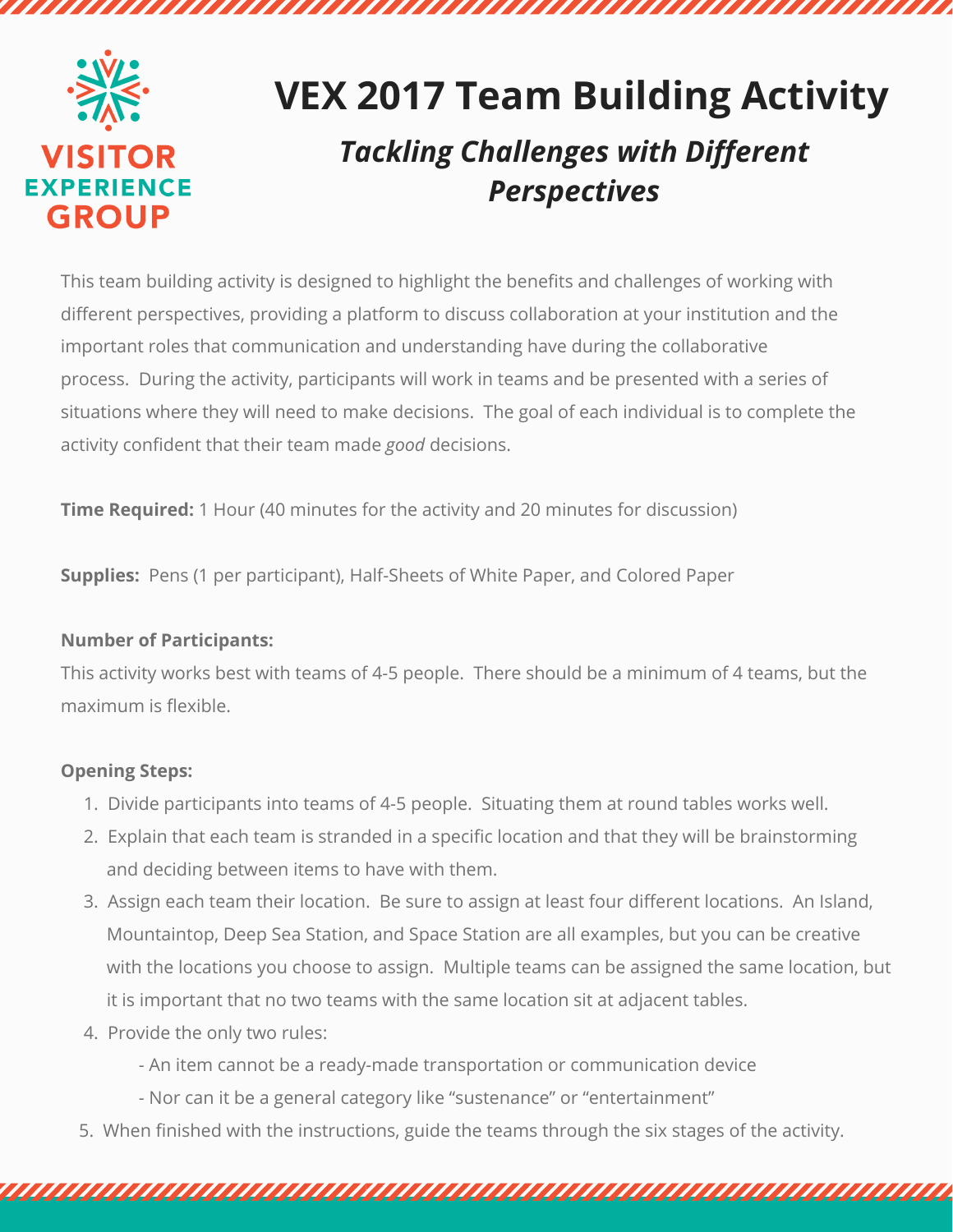

# **VEX 2017 Team Building Activity**

n an an amaman an amaman an amaman

# *Tackling Challenges with Different Perspectives*

This team building activity is designed to highlight the benefits and challenges of working with different perspectives, providing a platform to discuss collaboration at your institution and the important roles that communication and understanding have during the collaborative process. During the activity, participants will work in teams and be presented with a series of situations where they will need to make decisions. The goal of each individual is to complete the activity confident that their team made *good* decisions.

**Time Required:** 1 Hour (40 minutes for the activity and 20 minutes for discussion)

**Supplies:** Pens (1 per participant), Half-Sheets of White Paper, and Colored Paper

## **Number of Participants:**

This activity works best with teams of 4-5 people. There should be a minimum of 4 teams, but the maximum is flexible.

# **Opening Steps:**

- 1. Divide participants into teams of 4-5 people. Situating them at round tables works well.
- 2. Explain that each team is stranded in a specific location and that they will be brainstorming and deciding between items to have with them.
- 3. Assign each team their location. Be sure to assign at least four different locations. An Island, Mountaintop, Deep Sea Station, and Space Station are all examples, but you can be creative with the locations you choose to assign. Multiple teams can be assigned the same location, but it is important that no two teams with the same location sit at adjacent tables.
- 4. Provide the only two rules:
	- An item cannot be a ready-made transportation or communication device
	- Nor can it be a general category like "sustenance" or "entertainment"
- 5. When finished with the instructions, guide the teams through the six stages of the activity.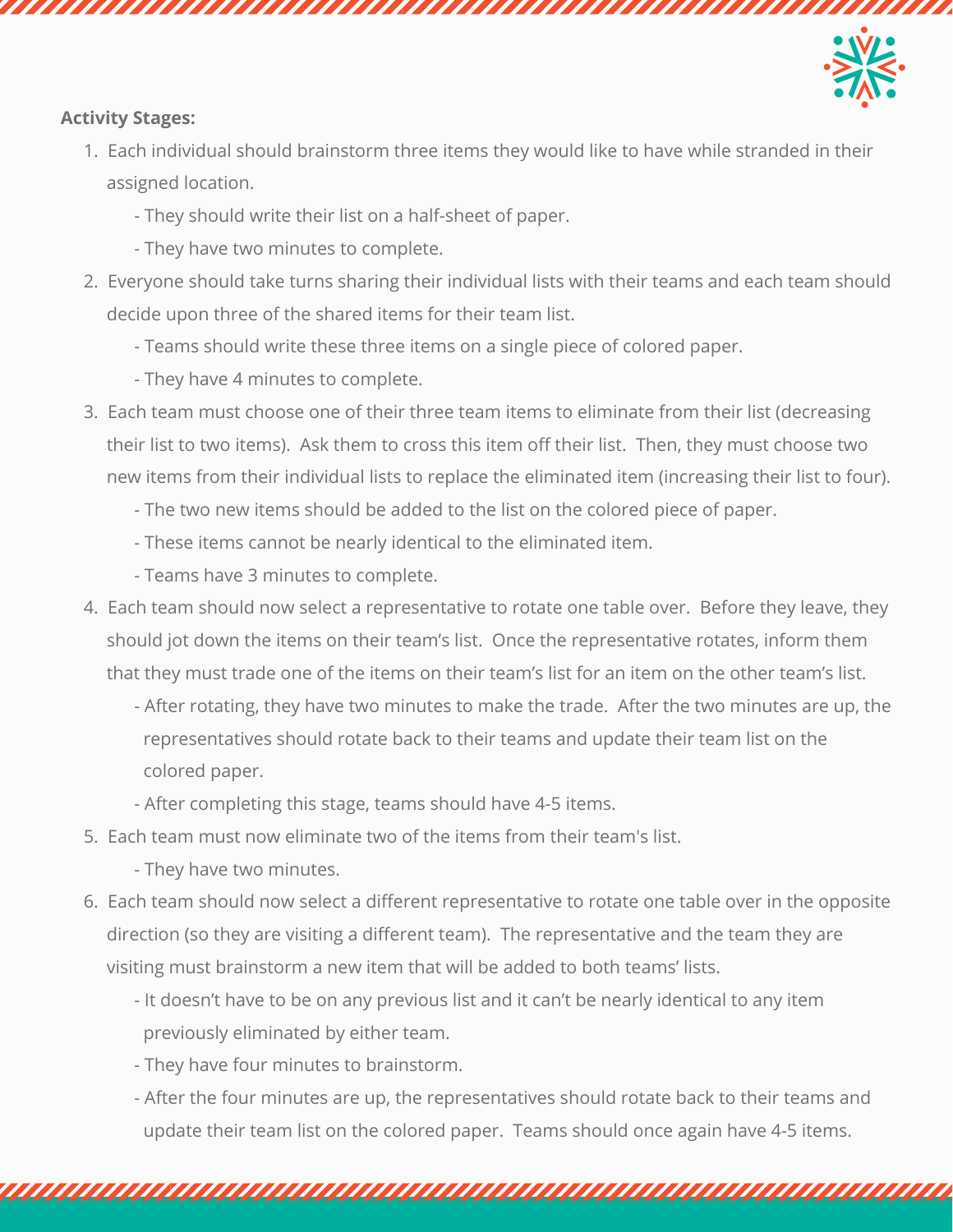

### **Activity Stages:**

- 1. Each individual should brainstorm three items they would like to have while stranded in their assigned location.
	- They should write their list on a half-sheet of paper.
	- They have two minutes to complete.
- 2. Everyone should take turns sharing their individual lists with their teams and each team should decide upon three of the shared items for their team list.
	- Teams should write these three items on a single piece of colored paper.

aanaanaanaanaanaanaanaanaanaan

- They have 4 minutes to complete.
- 3. Each team must choose one of their three team items to eliminate from their list (decreasing their list to two items). Ask them to cross this item off their list. Then, they must choose two new items from their individual lists to replace the eliminated item (increasing their list to four).
	- The two new items should be added to the list on the colored piece of paper.
	- These items cannot be nearly identical to the eliminated item.
	- Teams have 3 minutes to complete.
- 4. Each team should now select a representative to rotate one table over. Before they leave, they should jot down the items on their team's list. Once the representative rotates, inform them that they must trade one of the items on their team's list for an item on the other team's list.
	- After rotating, they have two minutes to make the trade. After the two minutes are up, the representatives should rotate back to their teams and update their team list on the colored paper.
	- After completing this stage, teams should have 4-5 items.
- 5. Each team must now eliminate two of the items from their team's list.
	- They have two minutes.
- 6. Each team should now select a different representative to rotate one table over in the opposite direction (so they are visiting a different team). The representative and the team they are visiting must brainstorm a new item that will be added to both teams' lists.
	- It doesn't have to be on any previous list and it can't be nearly identical to any item previously eliminated by either team.
	- They have four minutes to brainstorm.
	- After the four minutes are up, the representatives should rotate back to their teams and update their team list on the colored paper. Teams should once again have 4-5 items.

<u>TAAN TANA TANA TANA MARAMATAN MAHALI MAHALI MAHALI MAHALI MA</u>